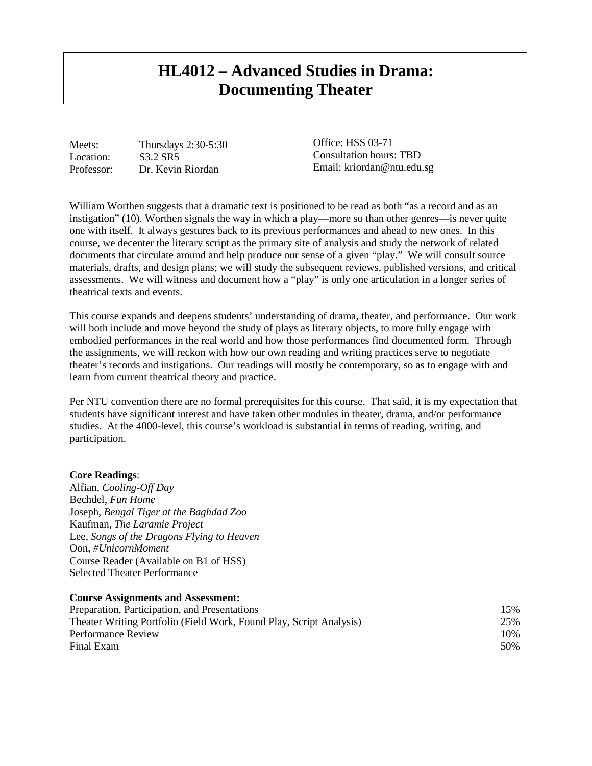# **HL4012 – Advanced Studies in Drama: Documenting Theater**

Meets: Thursdays 2:30-5:30 Location: S3.2 SR5 Professor: Dr. Kevin Riordan

Office: HSS 03-71 Consultation hours: TBD Email: kriordan@ntu.edu.sg

William Worthen suggests that a dramatic text is positioned to be read as both "as a record and as an instigation" (10). Worthen signals the way in which a play—more so than other genres—is never quite one with itself. It always gestures back to its previous performances and ahead to new ones. In this course, we decenter the literary script as the primary site of analysis and study the network of related documents that circulate around and help produce our sense of a given "play." We will consult source materials, drafts, and design plans; we will study the subsequent reviews, published versions, and critical assessments. We will witness and document how a "play" is only one articulation in a longer series of theatrical texts and events.

This course expands and deepens students' understanding of drama, theater, and performance. Our work will both include and move beyond the study of plays as literary objects, to more fully engage with embodied performances in the real world and how those performances find documented form. Through the assignments, we will reckon with how our own reading and writing practices serve to negotiate theater's records and instigations. Our readings will mostly be contemporary, so as to engage with and learn from current theatrical theory and practice.

Per NTU convention there are no formal prerequisites for this course. That said, it is my expectation that students have significant interest and have taken other modules in theater, drama, and/or performance studies. At the 4000-level, this course's workload is substantial in terms of reading, writing, and participation.

### **Core Readings**:

Alfian, *Cooling-Off Day* Bechdel, *Fun Home* Joseph, *Bengal Tiger at the Baghdad Zoo* Kaufman, *The Laramie Project* Lee, *Songs of the Dragons Flying to Heaven* Oon, *#UnicornMoment* Course Reader (Available on B1 of HSS) Selected Theater Performance

### **Course Assignments and Assessment:**

| Preparation, Participation, and Presentations<br>Theater Writing Portfolio (Field Work, Found Play, Script Analysis) | 15%<br>25% |
|----------------------------------------------------------------------------------------------------------------------|------------|
|                                                                                                                      |            |
| Final Exam                                                                                                           | 50%        |